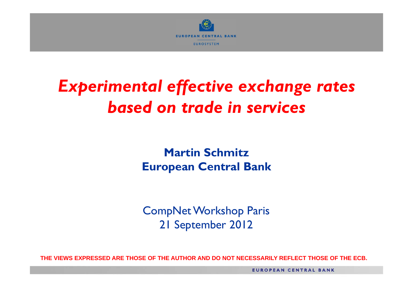

# *Experimental effective exchange rates based on trade in services*

**Martin SchmitzEuropean Central Bank**

CompNet Workshop Paris 21 September 2012

THE VIEWS EXPRESSED ARE THOSE OF THE AUTHOR AND DO NOT NECESSARILY REFLECT THOSE OF THE ECB.

**EUROPEAN CENTRAL BANK**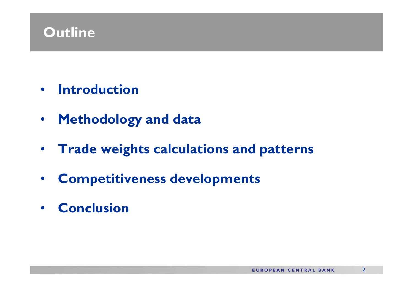#### **Outline**

- **Introduction**
- •**Methodology and data**
- **Trade weights calculations and patterns**
- •**Competitiveness developments**
- **Conclusion**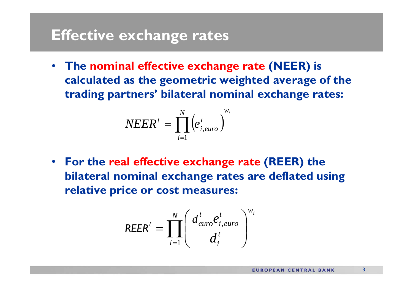#### **Effective exchange rates**

• **The nominal effective exchange rate (NEER) is calculated as the geometric weighted average of the trading partners' bilateral nominal exchange rates:**

$$
NEER^t = \prod_{i=1}^N \Bigl(e_{i,euro}^t\Bigr)^{w_i}
$$

• **For the real effective exchange rate (REER) the bilateral nominal exchange rates are deflated using relative price or cost measures:**

$$
REER^{t} = \prod_{i=1}^{N} \left( \frac{d_{euro}^{t} e_{i,euro}^{t}}{d_{i}^{t}} \right)^{w_{i}}
$$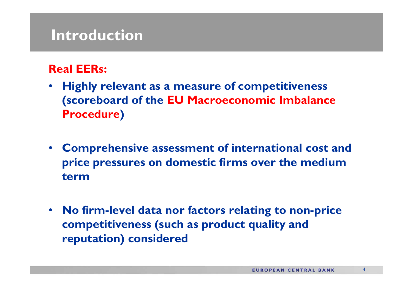#### **Introduction**

#### **Real EERs:**

- • **Highly relevant as a measure of competitiveness (scoreboard of the EU Macroeconomic Imbalance Procedure)**
- **Comprehensive assessment of international cost and price pressures on domestic firms over the medium term**
- • **No firm-level data nor factors relating to non-price competitiveness (such as product quality and reputation) considered**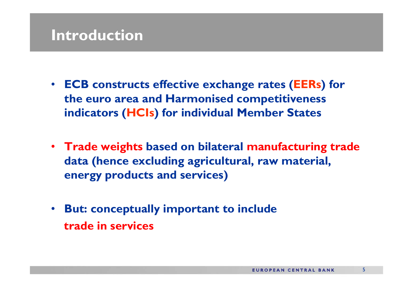### **Introduction**

- **ECB constructs effective exchange rates (EERs) for the euro area and Harmonised competitiveness indicators (HCIs) for individual Member States**
- **Trade weights based on bilateral manufacturing trade data (hence excluding agricultural, raw material, energy products and services)**
- • **But: conceptually important to include trade in services**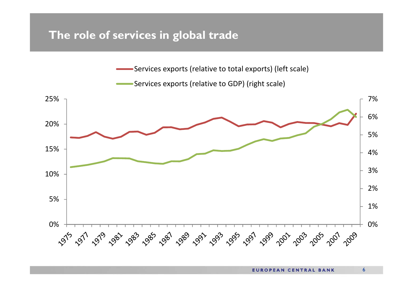#### **The role of services in global trade**

Services exports (relative to total exports) (left scale)

Services exports (relative to GDP) (right scale)

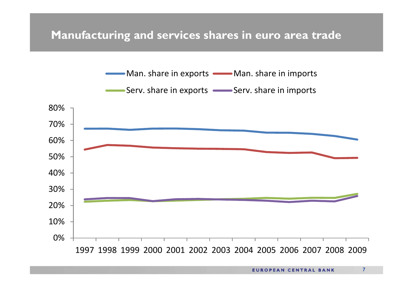#### **Manufacturing and services shares in euro area trade**

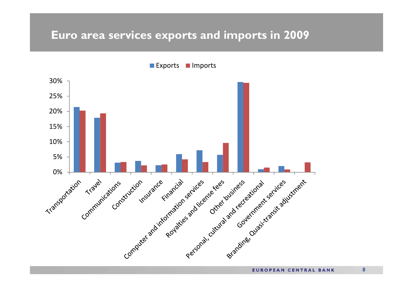#### **Euro area services exports and imports in 2009**

**Exports** Imports



**EUROPEAN CENTRAL BANK**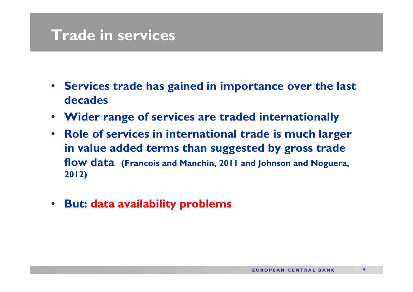#### **Trade in services**

- **Services trade has gained in importance over the last decades**
- $\bullet$ **Wider range of services are traded internationally**
- **Role of services in international trade is much larger in value added terms than suggested by gross trade flow data (Francois and Manchin, 2011 and Johnson and Noguera, 2012)**
- **But: data availability problems**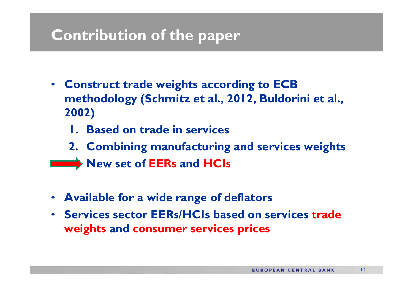### **Contribution of the paper**

- **Construct trade weights according to ECB methodology (Schmitz et al., 2012, Buldorini et al., 2002)**
	- **1. Based on trade in services**
	- **2. Combining manufacturing and services weights**
	- **New set of EERs and HCIs**
- **Available for a wide range of deflators**
- **Services sector EERs/HCIs based on services trade weights and consumer services prices**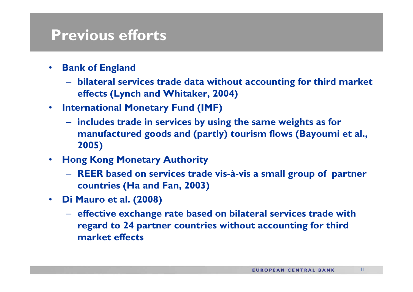#### **Previous efforts**

- • **Bank of England** 
	- **bilateral services trade data without accounting for third market effects (Lynch and Whitaker, 2004)**
- **International Monetary Fund (IMF)** 
	- **includes trade in services by using the same weights as for manufactured goods and (partly) tourism flows (Bayoumi et al., 2005)**
- **Hong Kong Monetary Authority** 
	- **REER based on services trade vis-à-vis a small group of partner countries (Ha and Fan, 2003)**
- **Di Mauro et al. (2008)** 
	- **effective exchange rate based on bilateral services trade with regard to 24 partner countries without accounting for third market effects**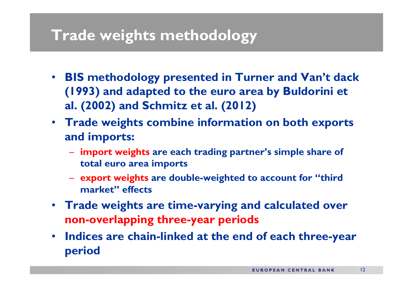#### **Trade weights methodology**

- **BIS methodology presented in Turner and Van't dack (1993) and adapted to the euro area by Buldorini et al. (2002) and Schmitz et al. (2012)**
- **Trade weights combine information on both exports and imports:**
	- **import weights are each trading partner's simple share of total euro area imports**
	- **export weights are double-weighted to account for "third market" effects**
- **Trade weights are time-varying and calculated over non-overlapping three-year periods**
- • **Indices are chain-linked at the end of each three-year period**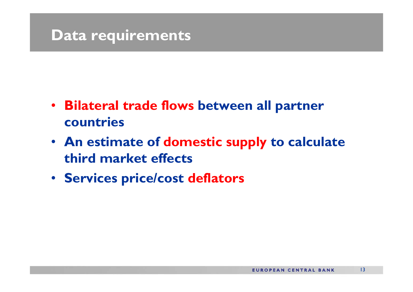#### **Data requirements**

- **Bilateral trade flows between all partner countries**
- **An estimate of domestic supply to calculate third market effects**
- **Services price/cost deflators**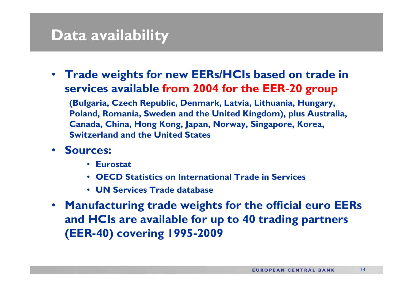#### **Data availability**

• **Trade weights for new EERs/HCIs based on trade in services available from 2004 for the EER-20 group**

**(Bulgaria, Czech Republic, Denmark, Latvia, Lithuania, Hungary, Poland, Romania, Sweden and the United Kingdom), plus Australia, Canada, China, Hong Kong, Japan, Norway, Singapore, Korea, Switzerland and the United States**

- **Sources:** 
	- **Eurostat**
	- **OECD Statistics on International Trade in Services**
	- **UN Services Trade database**
- **Manufacturing trade weights for the official euro EERs and HCIs are available for up to 40 trading partners (EER-40) covering 1995-2009**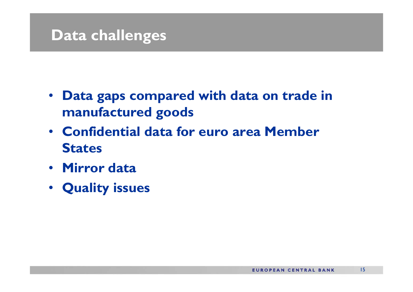#### **Data challenges**

- **Data gaps compared with data on trade in manufactured goods**
- **Confidential data for euro area Member States**
- **Mirror data**
- **Quality issues**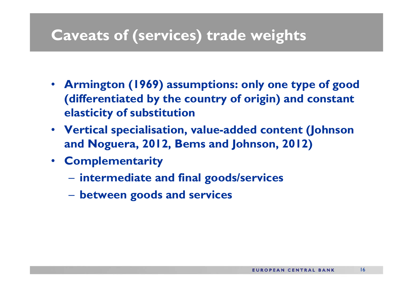#### **Caveats of (services) trade weights**

- **Armington (1969) assumptions: only one type of good (differentiated by the country of origin) and constant elasticity of substitution**
- **Vertical specialisation, value-added content (Johnson and Noguera, 2012, Bems and Johnson, 2012)**
- **Complementarity** 
	- **intermediate and final goods/services**
	- **between goods and services**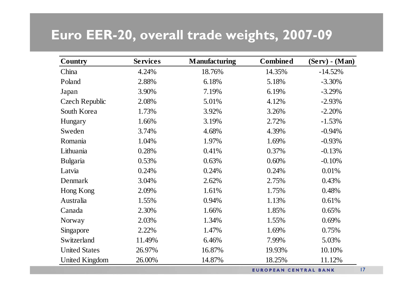#### **Euro EER-20, overall trade weights, 2007-09**

| <b>Country</b>        | <b>Services</b> | <b>Manufacturing</b>         | <b>Combined</b> | $(Serv)$ - $(Man)$ |
|-----------------------|-----------------|------------------------------|-----------------|--------------------|
| China                 | 4.24%           | 18.76%                       | 14.35%          | $-14.52%$          |
| Poland                | 2.88%           | 6.18%                        | 5.18%           | $-3.30%$           |
| Japan                 | 3.90%           | 7.19%                        | 6.19%           | $-3.29%$           |
| <b>Czech Republic</b> | 2.08%           | 5.01%                        | 4.12%           | $-2.93%$           |
| South Korea           | 1.73%           | 3.92%                        | 3.26%           | $-2.20%$           |
| Hungary               | 1.66%           | 3.19%                        | 2.72%           | $-1.53%$           |
| Sweden                | 3.74%           | 4.68%                        | 4.39%           | $-0.94%$           |
| Romania               | 1.04%           | 1.97%                        | 1.69%           | $-0.93%$           |
| Lithuania             | 0.28%           | 0.41%                        | 0.37%           | $-0.13%$           |
| <b>Bulgaria</b>       | 0.53%           | 0.63%                        | 0.60%           | $-0.10%$           |
| Latvia                | 0.24%           | 0.24%                        | 0.24%           | 0.01%              |
| Denmark               | 3.04%           | 2.62%                        | 2.75%           | 0.43%              |
| Hong Kong             | 2.09%           | 1.61%                        | 1.75%           | 0.48%              |
| Australia             | 1.55%           | 0.94%                        | 1.13%           | 0.61%              |
| Canada                | 2.30%           | 1.66%                        | 1.85%           | 0.65%              |
| Norway                | 2.03%           | 1.34%                        | 1.55%           | 0.69%              |
| Singapore             | 2.22%           | 1.47%                        | 1.69%           | 0.75%              |
| Switzerland           | 11.49%          | 6.46%                        | 7.99%           | 5.03%              |
| <b>United States</b>  | 26.97%          | 16.87%                       | 19.93%          | 10.10%             |
| <b>United Kingdom</b> | 26.00%          | 14.87%                       | 18.25%          | 11.12%             |
|                       |                 | <b>EUROPEAN CENTRAL BANK</b> |                 |                    |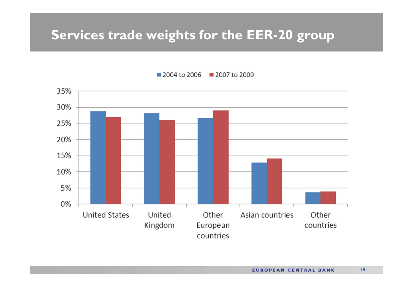#### **Services trade weights for the EER-20 group**



■ 2004 to 2006 ■ 2007 to 2009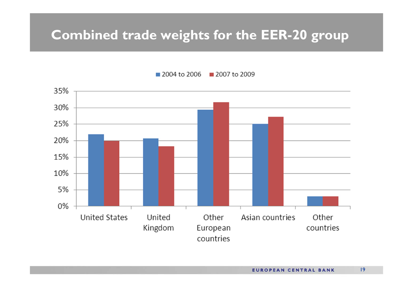#### **Combined trade weights for the EER-20 group**



2004 to 2006 2007 to 2009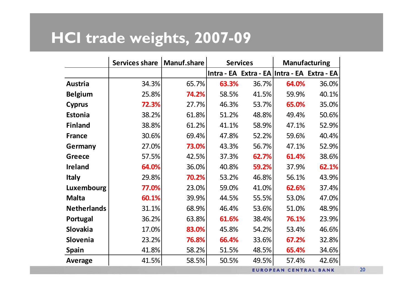## **HCI trade weights, 2007-09**

|                    | <b>Services share</b> | <b>Manuf.share</b> | <b>Services</b> |                                             | <b>Manufacturing</b>         |       |
|--------------------|-----------------------|--------------------|-----------------|---------------------------------------------|------------------------------|-------|
|                    |                       |                    |                 | Intra - EA Extra - EA Intra - EA Extra - EA |                              |       |
| <b>Austria</b>     | 34.3%                 | 65.7%              | 63.3%           | 36.7%                                       | 64.0%                        | 36.0% |
| <b>Belgium</b>     | 25.8%                 | 74.2%              | 58.5%           | 41.5%                                       | 59.9%                        | 40.1% |
| <b>Cyprus</b>      | 72.3%                 | 27.7%              | 46.3%           | 53.7%                                       | 65.0%                        | 35.0% |
| <b>Estonia</b>     | 38.2%                 | 61.8%              | 51.2%           | 48.8%                                       | 49.4%                        | 50.6% |
| <b>Finland</b>     | 38.8%                 | 61.2%              | 41.1%           | 58.9%                                       | 47.1%                        | 52.9% |
| <b>France</b>      | 30.6%                 | 69.4%              | 47.8%           | 52.2%                                       | 59.6%                        | 40.4% |
| Germany            | 27.0%                 | 73.0%              | 43.3%           | 56.7%                                       | 47.1%                        | 52.9% |
| <b>Greece</b>      | 57.5%                 | 42.5%              | 37.3%           | 62.7%                                       | 61.4%                        | 38.6% |
| <b>Ireland</b>     | 64.0%                 | 36.0%              | 40.8%           | 59.2%                                       | 37.9%                        | 62.1% |
| <b>Italy</b>       | 29.8%                 | 70.2%              | 53.2%           | 46.8%                                       | 56.1%                        | 43.9% |
| Luxembourg         | 77.0%                 | 23.0%              | 59.0%           | 41.0%                                       | 62.6%                        | 37.4% |
| <b>Malta</b>       | 60.1%                 | 39.9%              | 44.5%           | 55.5%                                       | 53.0%                        | 47.0% |
| <b>Netherlands</b> | 31.1%                 | 68.9%              | 46.4%           | 53.6%                                       | 51.0%                        | 48.9% |
| Portugal           | 36.2%                 | 63.8%              | 61.6%           | 38.4%                                       | 76.1%                        | 23.9% |
| <b>Slovakia</b>    | 17.0%                 | 83.0%              | 45.8%           | 54.2%                                       | 53.4%                        | 46.6% |
| Slovenia           | 23.2%                 | 76.8%              | 66.4%           | 33.6%                                       | 67.2%                        | 32.8% |
| <b>Spain</b>       | 41.8%                 | 58.2%              | 51.5%           | 48.5%                                       | 65.4%                        | 34.6% |
| <b>Average</b>     | 41.5%                 | 58.5%              | 50.5%           | 49.5%                                       | 57.4%                        | 42.6% |
|                    |                       |                    |                 |                                             | <b>EUROPEAN CENTRAL BANK</b> |       |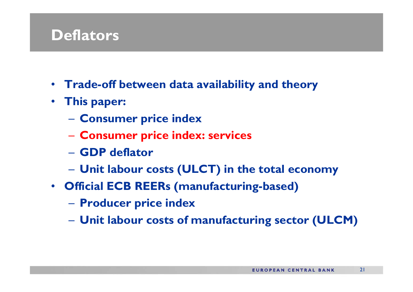#### **Deflators**

- **Trade-off between data availability and theory**
- **This paper:**
	- **Consumer price index**
	- **Consumer price index: services**
	- **GDP deflator**
	- **Unit labour costs (ULCT) in the total economy**
- **Official ECB REERs (manufacturing-based)**
	- **Producer price index**
	- **Unit labour costs of manufacturing sector (ULCM)**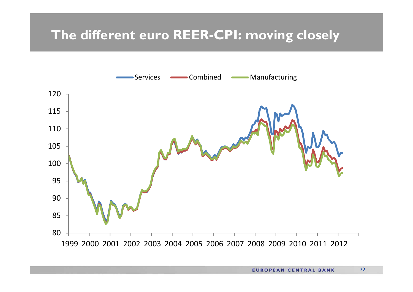#### **The different euro REER-CPI: moving closely**

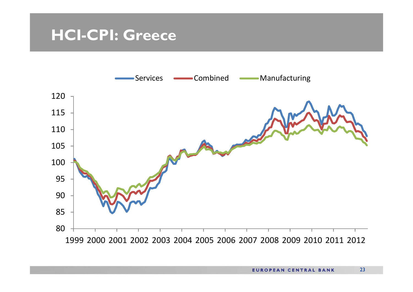#### **HCI-CPI: Greece**

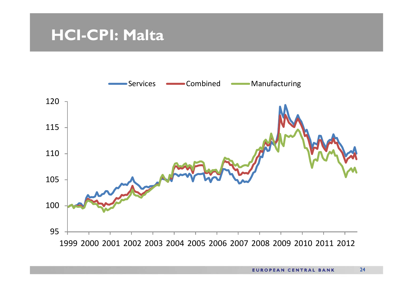#### **HCI-CPI: Malta**

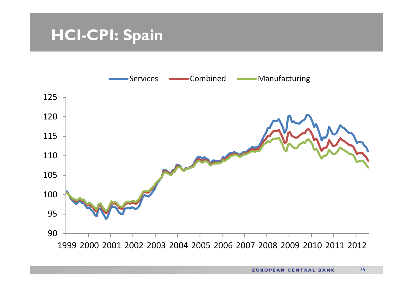## **HCI-CPI: Spain**

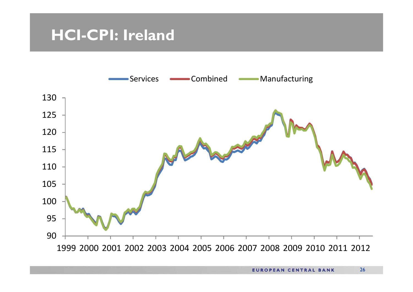#### **HCI-CPI: Ireland**

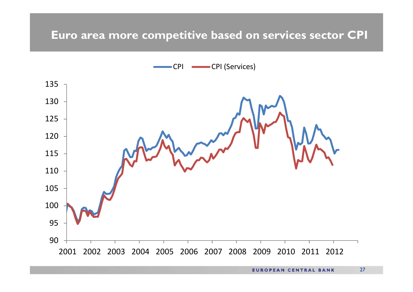#### **Euro area more competitive based on services sector CPI**

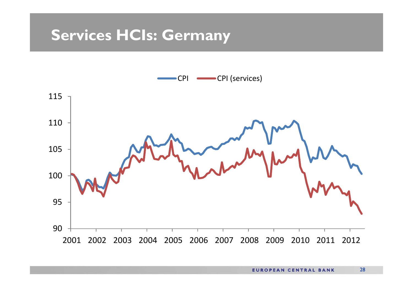#### **Services HCIs: Germany**

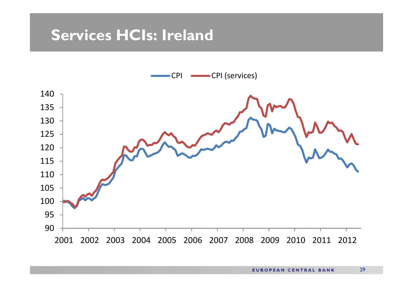### **Services HCIs: Ireland**

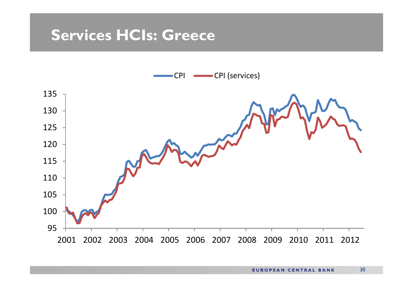#### **Services HCIs: Greece**

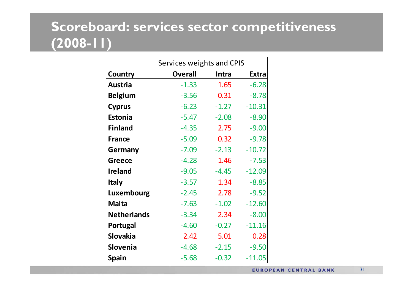#### **Scoreboard: services sector competitiveness (2008-11)**

|                    | Services weights and CPIS |         |              |
|--------------------|---------------------------|---------|--------------|
| Country            | <b>Overall</b>            | Intra   | <b>Extra</b> |
| <b>Austria</b>     | $-1.33$                   | 1.65    | $-6.28$      |
| <b>Belgium</b>     | $-3.56$                   | 0.31    | $-8.78$      |
| <b>Cyprus</b>      | $-6.23$                   | $-1.27$ | $-10.31$     |
| <b>Estonia</b>     | $-5.47$                   | $-2.08$ | $-8.90$      |
| <b>Finland</b>     | $-4.35$                   | 2.75    | $-9.00$      |
| <b>France</b>      | $-5.09$                   | 0.32    | $-9.78$      |
| Germany            | $-7.09$                   | $-2.13$ | $-10.72$     |
| <b>Greece</b>      | $-4.28$                   | 1.46    | $-7.53$      |
| <b>Ireland</b>     | $-9.05$                   | $-4.45$ | $-12.09$     |
| <b>Italy</b>       | $-3.57$                   | 1.34    | $-8.85$      |
| Luxembourg         | $-2.45$                   | 2.78    | $-9.52$      |
| <b>Malta</b>       | $-7.63$                   | $-1.02$ | $-12.60$     |
| <b>Netherlands</b> | $-3.34$                   | 2.34    | $-8.00$      |
| <b>Portugal</b>    | $-4.60$                   | $-0.27$ | $-11.16$     |
| <b>Slovakia</b>    | 2.42                      | 5.01    | 0.28         |
| <b>Slovenia</b>    | $-4.68$                   | $-2.15$ | $-9.50$      |
| <b>Spain</b>       | $-5.68$                   | $-0.32$ | $-11.05$     |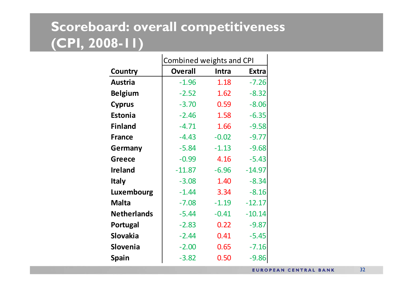### **Scoreboard: overall competitiveness (CPI, 2008-11)**

|                    | Combined weights and CPI |         |              |
|--------------------|--------------------------|---------|--------------|
| Country            | <b>Overall</b>           | Intra   | <b>Extra</b> |
| <b>Austria</b>     | $-1.96$                  | 1.18    | $-7.26$      |
| <b>Belgium</b>     | $-2.52$                  | 1.62    | $-8.32$      |
| <b>Cyprus</b>      | $-3.70$                  | 0.59    | $-8.06$      |
| Estonia            | $-2.46$                  | 1.58    | $-6.35$      |
| <b>Finland</b>     | $-4.71$                  | 1.66    | $-9.58$      |
| <b>France</b>      | $-4.43$                  | $-0.02$ | $-9.77$      |
| Germany            | $-5.84$                  | $-1.13$ | $-9.68$      |
| Greece             | $-0.99$                  | 4.16    | $-5.43$      |
| <b>Ireland</b>     | $-11.87$                 | $-6.96$ | $-14.97$     |
| <b>Italy</b>       | $-3.08$                  | 1.40    | $-8.34$      |
| Luxembourg         | $-1.44$                  | 3.34    | $-8.16$      |
| <b>Malta</b>       | $-7.08$                  | $-1.19$ | $-12.17$     |
| <b>Netherlands</b> | $-5.44$                  | $-0.41$ | $-10.14$     |
| Portugal           | $-2.83$                  | 0.22    | $-9.87$      |
| <b>Slovakia</b>    | $-2.44$                  | 0.41    | $-5.45$      |
| <b>Slovenia</b>    | $-2.00$                  | 0.65    | $-7.16$      |
| <b>Spain</b>       | $-3.82$                  | 0.50    | $-9.86$      |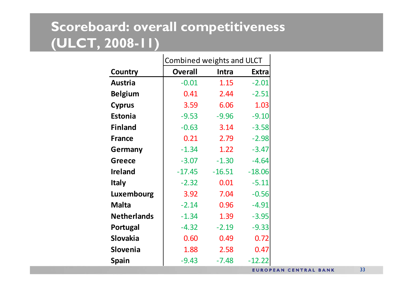### **Scoreboard: overall competitiveness (ULCT, 2008-11)**

 $\blacksquare$ 

|                    | Combined weights and ULCT |          |              |
|--------------------|---------------------------|----------|--------------|
| Country            | <b>Overall</b>            | Intra    | <b>Extra</b> |
| <b>Austria</b>     | $-0.01$                   | 1.15     | $-2.01$      |
| <b>Belgium</b>     | 0.41                      | 2.44     | $-2.51$      |
| <b>Cyprus</b>      | 3.59                      | 6.06     | 1.03         |
| <b>Estonia</b>     | $-9.53$                   | $-9.96$  | $-9.10$      |
| <b>Finland</b>     | $-0.63$                   | 3.14     | $-3.58$      |
| <b>France</b>      | 0.21                      | 2.79     | $-2.98$      |
| Germany            | $-1.34$                   | 1.22     | $-3.47$      |
| <b>Greece</b>      | $-3.07$                   | $-1.30$  | $-4.64$      |
| <b>Ireland</b>     | $-17.45$                  | $-16.51$ | $-18.06$     |
| <b>Italy</b>       | $-2.32$                   | 0.01     | $-5.11$      |
| Luxembourg         | 3.92                      | 7.04     | $-0.56$      |
| <b>Malta</b>       | $-2.14$                   | 0.96     | $-4.91$      |
| <b>Netherlands</b> | $-1.34$                   | 1.39     | $-3.95$      |
| Portugal           | $-4.32$                   | $-2.19$  | $-9.33$      |
| <b>Slovakia</b>    | 0.60                      | 0.49     | 0.72         |
| <b>Slovenia</b>    | 1.88                      | 2.58     | 0.47         |
| <b>Spain</b>       | $-9.43$                   | $-7.48$  | $-12.22$     |
|                    |                           |          | EUROPI       |

 $\mathbf{L}$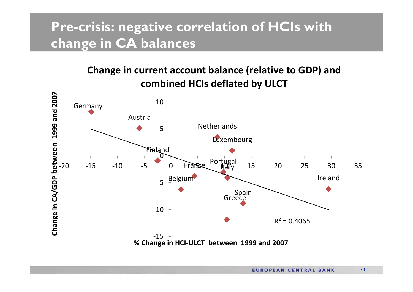#### **Pre-crisis: negative correlation of HCIs with change in CA balances**

#### **Change in current account balance (relative to GDP) and combined HCIs deflated by ULCT**

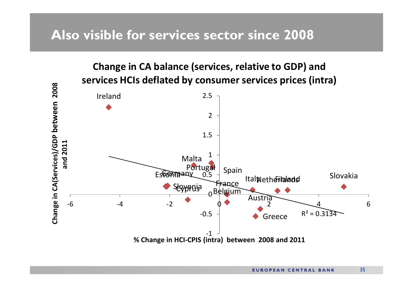#### **Also visible for services sector since 2008**

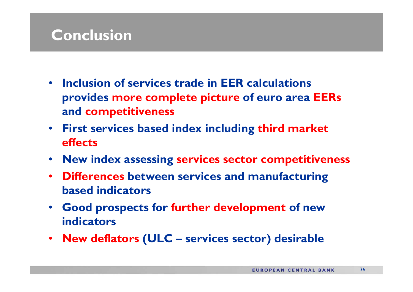### **Conclusion**

- **Inclusion of services trade in EER calculations provides more complete picture of euro area EERs and competitiveness**
- **First services based index including third market effects**
- **New index assessing services sector competitiveness**
- **Differences between services and manufacturing based indicators**
- **Good prospects for further development of new indicators**
- **New deflators (ULC – services sector) desirable**